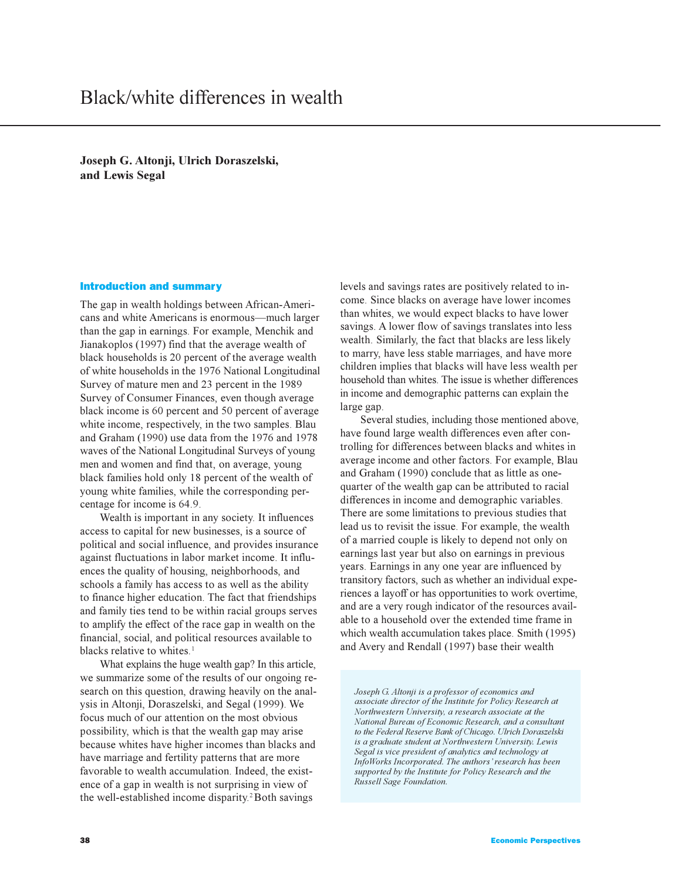**Joseph G. Altonji, Ulrich Doraszelski, and Lewis Segal**

## Introduction and summary

The gap in wealth holdings between African-Americans and white Americans is enormous-much larger than the gap in earnings. For example, Menchik and Jianakoplos (1997) find that the average wealth of black households is 20 percent of the average wealth of white households in the 1976 National Longitudinal Survey of mature men and 23 percent in the 1989 Survey of Consumer Finances, even though average black income is 60 percent and 50 percent of average white income, respectively, in the two samples. Blau and Graham (1990) use data from the 1976 and 1978 waves of the National Longitudinal Surveys of young men and women and find that, on average, young black families hold only 18 percent of the wealth of young white families, while the corresponding percentage for income is 64.9.

Wealth is important in any society. It influences access to capital for new businesses, is a source of political and social influence, and provides insurance against fluctuations in labor market income. It influences the quality of housing, neighborhoods, and schools a family has access to as well as the ability to finance higher education. The fact that friendships and family ties tend to be within racial groups serves to amplify the effect of the race gap in wealth on the financial, social, and political resources available to blacks relative to whites.<sup>1</sup>

What explains the huge wealth gap? In this article, we summarize some of the results of our ongoing research on this question, drawing heavily on the analysis in Altonji, Doraszelski, and Segal (1999). We focus much of our attention on the most obvious possibility, which is that the wealth gap may arise because whites have higher incomes than blacks and have marriage and fertility patterns that are more favorable to wealth accumulation. Indeed, the existence of a gap in wealth is not surprising in view of the well-established income disparity.<sup>2</sup> Both savings

levels and savings rates are positively related to income. Since blacks on average have lower incomes than whites, we would expect blacks to have lower savings. A lower flow of savings translates into less wealth. Similarly, the fact that blacks are less likely to marry, have less stable marriages, and have more children implies that blacks will have less wealth per household than whites. The issue is whether differences in income and demographic patterns can explain the large gap.

Several studies, including those mentioned above, have found large wealth differences even after controlling for differences between blacks and whites in average income and other factors. For example, Blau and Graham (1990) conclude that as little as onequarter of the wealth gap can be attributed to racial differences in income and demographic variables. There are some limitations to previous studies that lead us to revisit the issue. For example, the wealth of a married couple is likely to depend not only on earnings last year but also on earnings in previous years. Earnings in any one year are influenced by transitory factors, such as whether an individual experiences a layoff or has opportunities to work overtime, and are a very rough indicator of the resources available to a household over the extended time frame in which wealth accumulation takes place. Smith (1995) and Avery and Rendall (1997) base their wealth

*Joseph G. Altonji is a professor of economics and associate director of the Institute for Policy Research at Northwestern University, a research associate at the National Bureau of Economic Research, and a consultant to the Federal Reserve Bank of Chicago. Ulrich Doraszelski is a graduate student at Northwestern University. Lewis Segal is vice president of analytics and technology at InfoWorks Incorporated. The authors research has been supported by the Institute for Policy Research and the Russell Sage Foundation.*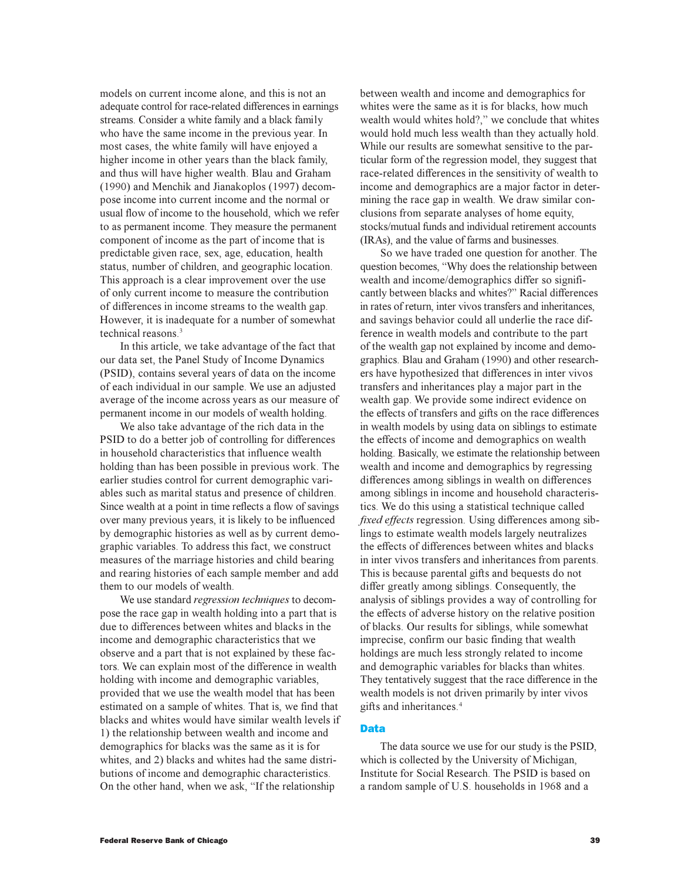models on current income alone, and this is not an adequate control for race-related differences in earnings streams. Consider a white family and a black family who have the same income in the previous year. In most cases, the white family will have enjoyed a higher income in other years than the black family, and thus will have higher wealth. Blau and Graham (1990) and Menchik and Jianakoplos (1997) decompose income into current income and the normal or usual flow of income to the household, which we refer to as permanent income. They measure the permanent component of income as the part of income that is predictable given race, sex, age, education, health status, number of children, and geographic location. This approach is a clear improvement over the use of only current income to measure the contribution of differences in income streams to the wealth gap. However, it is inadequate for a number of somewhat technical reasons.<sup>3</sup>

In this article, we take advantage of the fact that our data set, the Panel Study of Income Dynamics (PSID), contains several years of data on the income of each individual in our sample. We use an adjusted average of the income across years as our measure of permanent income in our models of wealth holding.

We also take advantage of the rich data in the PSID to do a better job of controlling for differences in household characteristics that influence wealth holding than has been possible in previous work. The earlier studies control for current demographic variables such as marital status and presence of children. Since wealth at a point in time reflects a flow of savings over many previous years, it is likely to be influenced by demographic histories as well as by current demographic variables. To address this fact, we construct measures of the marriage histories and child bearing and rearing histories of each sample member and add them to our models of wealth.

We use standard *regression techniques* to decompose the race gap in wealth holding into a part that is due to differences between whites and blacks in the income and demographic characteristics that we observe and a part that is not explained by these factors. We can explain most of the difference in wealth holding with income and demographic variables, provided that we use the wealth model that has been estimated on a sample of whites. That is, we find that blacks and whites would have similar wealth levels if 1) the relationship between wealth and income and demographics for blacks was the same as it is for whites, and 2) blacks and whites had the same distributions of income and demographic characteristics. On the other hand, when we ask, "If the relationship

between wealth and income and demographics for whites were the same as it is for blacks, how much wealth would whites hold?," we conclude that whites would hold much less wealth than they actually hold. While our results are somewhat sensitive to the particular form of the regression model, they suggest that race-related differences in the sensitivity of wealth to income and demographics are a major factor in determining the race gap in wealth. We draw similar conclusions from separate analyses of home equity, stocks/mutual funds and individual retirement accounts (IRAs), and the value of farms and businesses.

So we have traded one question for another. The question becomes, Why does the relationship between wealth and income/demographics differ so significantly between blacks and whites?" Racial differences in rates of return, inter vivos transfers and inheritances, and savings behavior could all underlie the race difference in wealth models and contribute to the part of the wealth gap not explained by income and demographics. Blau and Graham (1990) and other researchers have hypothesized that differences in inter vivos transfers and inheritances play a major part in the wealth gap. We provide some indirect evidence on the effects of transfers and gifts on the race differences in wealth models by using data on siblings to estimate the effects of income and demographics on wealth holding. Basically, we estimate the relationship between wealth and income and demographics by regressing differences among siblings in wealth on differences among siblings in income and household characteristics. We do this using a statistical technique called *fixed effects* regression. Using differences among siblings to estimate wealth models largely neutralizes the effects of differences between whites and blacks in inter vivos transfers and inheritances from parents. This is because parental gifts and bequests do not differ greatly among siblings. Consequently, the analysis of siblings provides a way of controlling for the effects of adverse history on the relative position of blacks. Our results for siblings, while somewhat imprecise, confirm our basic finding that wealth holdings are much less strongly related to income and demographic variables for blacks than whites. They tentatively suggest that the race difference in the wealth models is not driven primarily by inter vivos gifts and inheritances.<sup>4</sup>

## Data

The data source we use for our study is the PSID, which is collected by the University of Michigan. Institute for Social Research. The PSID is based on a random sample of U.S. households in 1968 and a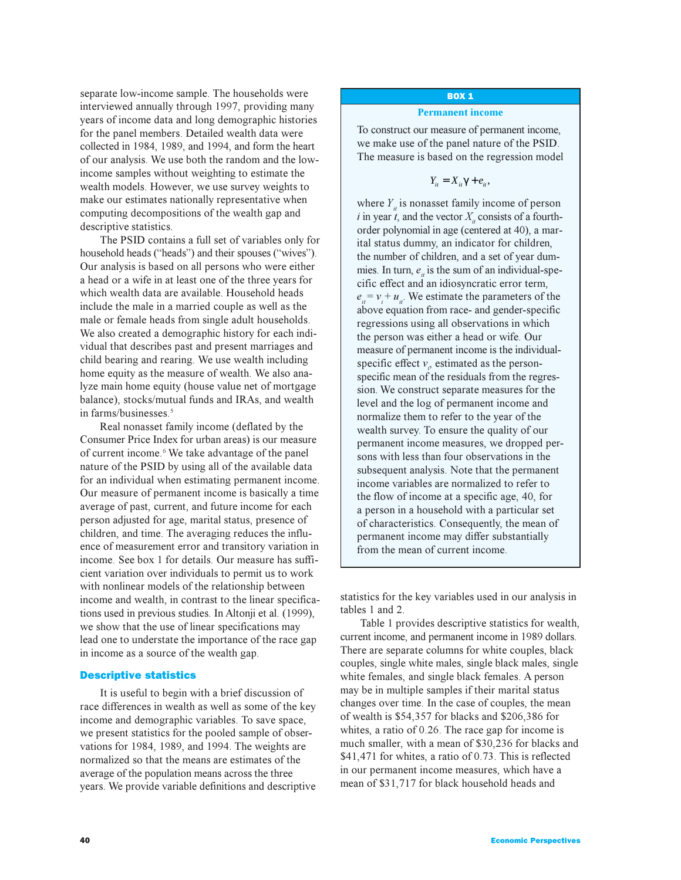separate low-income sample. The households were interviewed annually through 1997, providing many years of income data and long demographic histories for the panel members. Detailed wealth data were collected in 1984, 1989, and 1994, and form the heart of our analysis. We use both the random and the lowincome samples without weighting to estimate the wealth models. However, we use survey weights to make our estimates nationally representative when computing decompositions of the wealth gap and descriptive statistics.

The PSID contains a full set of variables only for household heads ("heads") and their spouses ("wives"). Our analysis is based on all persons who were either a head or a wife in at least one of the three years for which wealth data are available. Household heads include the male in a married couple as well as the male or female heads from single adult households. We also created a demographic history for each individual that describes past and present marriages and child bearing and rearing. We use wealth including home equity as the measure of wealth. We also analyze main home equity (house value net of mortgage balance), stocks/mutual funds and IRAs, and wealth in farms/businesses.<sup>5</sup>

Real nonasset family income (deflated by the Consumer Price Index for urban areas) is our measure of current income.<sup>6</sup> We take advantage of the panel nature of the PSID by using all of the available data for an individual when estimating permanent income. Our measure of permanent income is basically a time average of past, current, and future income for each person adjusted for age, marital status, presence of children, and time. The averaging reduces the influence of measurement error and transitory variation in income. See box 1 for details. Our measure has sufficient variation over individuals to permit us to work with nonlinear models of the relationship between income and wealth, in contrast to the linear specifications used in previous studies. In Altonji et al. (1999), we show that the use of linear specifications may lead one to understate the importance of the race gap in income as a source of the wealth gap.

### Descriptive statistics

It is useful to begin with a brief discussion of race differences in wealth as well as some of the key income and demographic variables. To save space, we present statistics for the pooled sample of observations for 1984, 1989, and 1994. The weights are normalized so that the means are estimates of the average of the population means across the three years. We provide variable definitions and descriptive

### BOX 1

#### **Permanent income**

To construct our measure of permanent income, we make use of the panel nature of the PSID. The measure is based on the regression model

$$
Y_{it}=X_{it}\gamma+e_{it},
$$

where  $Y_i$  is nonasset family income of person *i* in year  $\hat{t}$ , and the vector  $X_i$  consists of a fourthorder polynomial in age (centered at 40), a marital status dummy, an indicator for children, the number of children, and a set of year dummies. In turn,  $e_{\mu}$  is the sum of an individual-specific effect and an idiosyncratic error term,  $e_i = v_i + u_i$ . We estimate the parameters of the above equation from race- and gender-specific regressions using all observations in which the person was either a head or wife. Our measure of permanent income is the individualspecific effect  $v_i$ , estimated as the personspecific mean of the residuals from the regression. We construct separate measures for the level and the log of permanent income and normalize them to refer to the year of the wealth survey. To ensure the quality of our permanent income measures, we dropped persons with less than four observations in the subsequent analysis. Note that the permanent income variables are normalized to refer to the flow of income at a specific age, 40, for a person in a household with a particular set of characteristics. Consequently, the mean of permanent income may differ substantially from the mean of current income.

statistics for the key variables used in our analysis in tables 1 and 2.

Table 1 provides descriptive statistics for wealth, current income, and permanent income in 1989 dollars. There are separate columns for white couples, black couples, single white males, single black males, single white females, and single black females. A person may be in multiple samples if their marital status changes over time. In the case of couples, the mean of wealth is \$54,357 for blacks and \$206,386 for whites, a ratio of 0.26. The race gap for income is much smaller, with a mean of \$30,236 for blacks and \$41,471 for whites, a ratio of 0.73. This is reflected in our permanent income measures, which have a mean of \$31,717 for black household heads and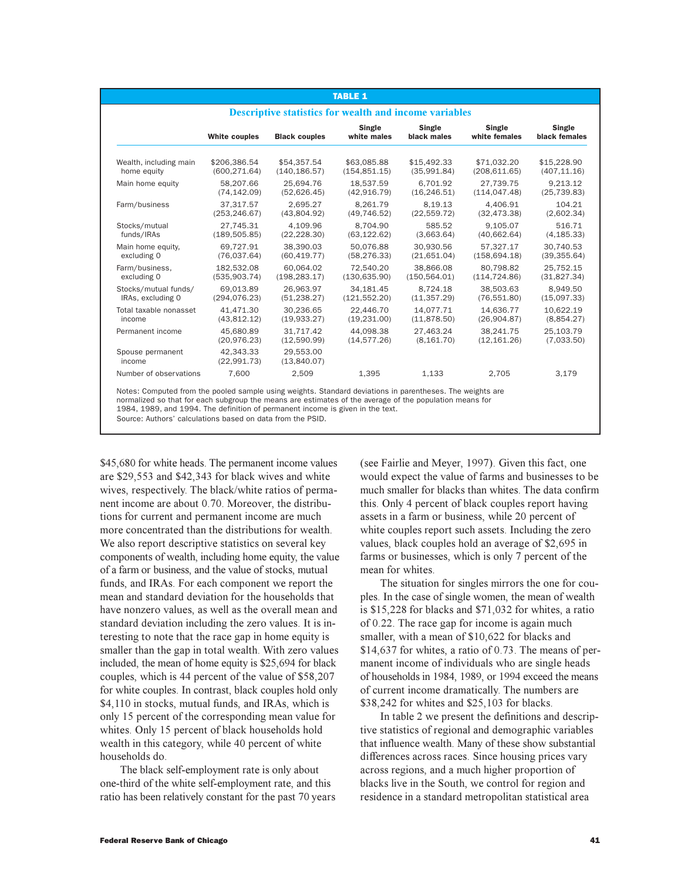| <b>TABLE 1</b><br><b>Descriptive statistics for wealth and income variables</b> |                          |                          |                       |                       |                         |                         |  |  |
|---------------------------------------------------------------------------------|--------------------------|--------------------------|-----------------------|-----------------------|-------------------------|-------------------------|--|--|
|                                                                                 | White couples            | <b>Black couples</b>     | Single<br>white males | Single<br>black males | Single<br>white females | Single<br>black females |  |  |
| Wealth, including main                                                          | \$206,386.54             | \$54,357.54              | \$63,085.88           | \$15,492.33           | \$71,032.20             | \$15,228.90             |  |  |
| home equity                                                                     | (600, 271.64)            | (140, 186.57)            | (154, 851.15)         | (35,991.84)           | (208, 611.65)           | (407, 11.16)            |  |  |
| Main home equity                                                                | 58.207.66                | 25.694.76                | 18.537.59             | 6.701.92              | 27.739.75               | 9.213.12                |  |  |
|                                                                                 | (74, 142.09)             | (52,626.45)              | (42, 916.79)          | (16, 246.51)          | (114, 047.48)           | (25, 739.83)            |  |  |
| Farm/business                                                                   | 37.317.57                | 2.695.27                 | 8.261.79              | 8.19.13               | 4.406.91                | 104.21                  |  |  |
|                                                                                 | (253, 246.67)            | (43,804.92)              | (49, 746.52)          | (22, 559.72)          | (32, 473.38)            | (2,602.34)              |  |  |
| Stocks/mutual                                                                   | 27.745.31                | 4.109.96                 | 8.704.90              | 585.52                | 9.105.07                | 516.71                  |  |  |
| funds/IRAs                                                                      | (189, 505.85)            | (22, 228.30)             | (63, 122.62)          | (3,663.64)            | (40,662.64)             | (4, 185.33)             |  |  |
| Main home equity.                                                               | 69.727.91                | 38.390.03                | 50.076.88             | 30.930.56             | 57.327.17               | 30.740.53               |  |  |
| excluding 0                                                                     | (76,037.64)              | (60, 419.77)             | (58, 276.33)          | (21,651.04)           | (158, 694.18)           | (39, 355.64)            |  |  |
| Farm/business,                                                                  | 182,532.08               | 60.064.02                | 72.540.20             | 38.866.08             | 80.798.82               | 25,752.15               |  |  |
| excluding 0                                                                     | (535,903.74)             | (198, 283.17)            | (130, 635.90)         | (150, 564.01)         | (114, 724.86)           | (31,827.34)             |  |  |
| Stocks/mutual funds/                                                            | 69.013.89                | 26.963.97                | 34.181.45             | 8.724.18              | 38.503.63               | 8.949.50                |  |  |
| IRAs, excluding 0                                                               | (294, 076.23)            | (51, 238.27)             | (121, 552.20)         | (11, 357.29)          | (76, 551.80)            | (15,097.33)             |  |  |
| Total taxable nonasset                                                          | 41.471.30                | 30.236.65                | 22.446.70             | 14.077.71             | 14.636.77               | 10.622.19               |  |  |
| income                                                                          | (43,812.12)              | (19,933.27)              | (19, 231.00)          | (11,878.50)           | (26,904.87)             | (8,854.27)              |  |  |
| Permanent income                                                                | 45,680.89                | 31,717.42                | 44.098.38             | 27.463.24             | 38.241.75               | 25,103.79               |  |  |
|                                                                                 | (20, 976.23)             | (12,590.99)              | (14, 577.26)          | (8, 161.70)           | (12, 161.26)            | (7,033.50)              |  |  |
| Spouse permanent<br>income                                                      | 42.343.33<br>(22,991.73) | 29.553.00<br>(13,840.07) |                       |                       |                         |                         |  |  |
| Number of observations                                                          | 7,600                    | 2,509                    | 1,395                 | 1,133                 | 2,705                   | 3,179                   |  |  |

Source: Authors' calculations based on data from the PSID.

\$45,680 for white heads. The permanent income values are \$29,553 and \$42,343 for black wives and white wives, respectively. The black/white ratios of permanent income are about 0.70. Moreover, the distributions for current and permanent income are much more concentrated than the distributions for wealth. We also report descriptive statistics on several key components of wealth, including home equity, the value of a farm or business, and the value of stocks, mutual funds, and IRAs. For each component we report the mean and standard deviation for the households that have nonzero values, as well as the overall mean and standard deviation including the zero values. It is interesting to note that the race gap in home equity is smaller than the gap in total wealth. With zero values included, the mean of home equity is \$25,694 for black couples, which is 44 percent of the value of \$58,207 for white couples. In contrast, black couples hold only \$4,110 in stocks, mutual funds, and IRAs, which is only 15 percent of the corresponding mean value for whites. Only 15 percent of black households hold wealth in this category, while 40 percent of white households do.

The black self-employment rate is only about one-third of the white self-employment rate, and this ratio has been relatively constant for the past 70 years (see Fairlie and Meyer, 1997). Given this fact, one would expect the value of farms and businesses to be much smaller for blacks than whites. The data confirm this. Only 4 percent of black couples report having assets in a farm or business, while 20 percent of white couples report such assets. Including the zero values, black couples hold an average of \$2,695 in farms or businesses, which is only 7 percent of the mean for whites.

The situation for singles mirrors the one for couples. In the case of single women, the mean of wealth is \$15,228 for blacks and \$71,032 for whites, a ratio of 0.22. The race gap for income is again much smaller, with a mean of \$10,622 for blacks and \$14,637 for whites, a ratio of 0.73. The means of permanent income of individuals who are single heads of households in 1984, 1989, or 1994 exceed the means of current income dramatically. The numbers are \$38,242 for whites and \$25,103 for blacks.

In table 2 we present the definitions and descriptive statistics of regional and demographic variables that influence wealth. Many of these show substantial differences across races. Since housing prices vary across regions, and a much higher proportion of blacks live in the South, we control for region and residence in a standard metropolitan statistical area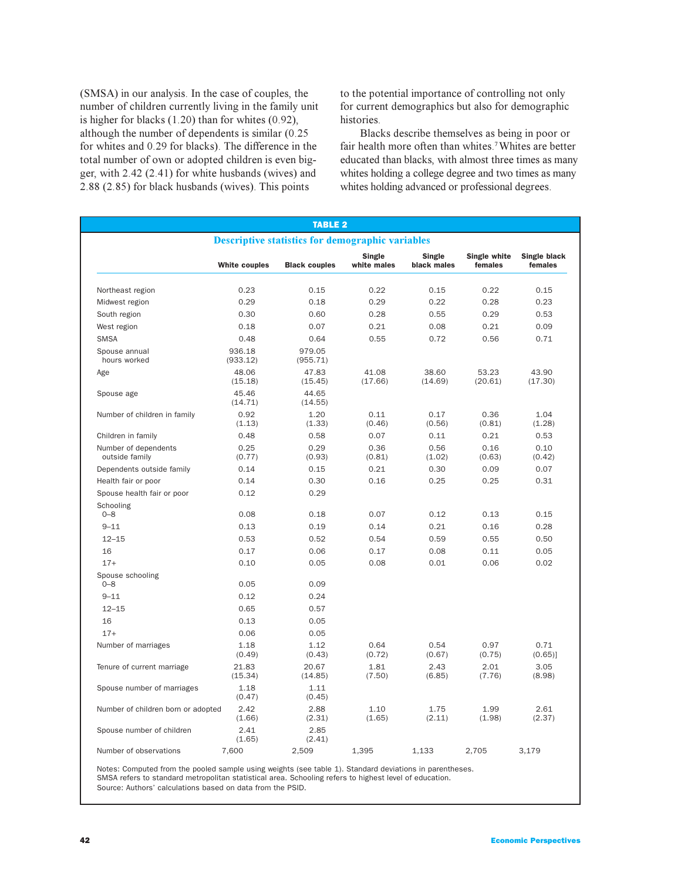(SMSA) in our analysis. In the case of couples, the number of children currently living in the family unit is higher for blacks (1.20) than for whites (0.92), although the number of dependents is similar (0.25 for whites and 0.29 for blacks). The difference in the total number of own or adopted children is even bigger, with 2.42 (2.41) for white husbands (wives) and 2.88 (2.85) for black husbands (wives). This points

to the potential importance of controlling not only for current demographics but also for demographic histories.

Blacks describe themselves as being in poor or fair health more often than whites.<sup>7</sup> Whites are better educated than blacks, with almost three times as many whites holding a college degree and two times as many whites holding advanced or professional degrees.

|                                                         |                      | <b>TABLE 2</b>       |                       |                       |                         |                         |  |
|---------------------------------------------------------|----------------------|----------------------|-----------------------|-----------------------|-------------------------|-------------------------|--|
| <b>Descriptive statistics for demographic variables</b> |                      |                      |                       |                       |                         |                         |  |
|                                                         | <b>White couples</b> | <b>Black couples</b> | Single<br>white males | Single<br>black males | Single white<br>females | Single black<br>females |  |
| Northeast region                                        | 0.23                 | 0.15                 | 0.22                  | 0.15                  | 0.22                    | 0.15                    |  |
| Midwest region                                          | 0.29                 | 0.18                 | 0.29                  | 0.22                  | 0.28                    | 0.23                    |  |
| South region                                            | 0.30                 | 0.60                 | 0.28                  | 0.55                  | 0.29                    | 0.53                    |  |
| West region                                             | 0.18                 | 0.07                 | 0.21                  | 0.08                  | 0.21                    | 0.09                    |  |
| <b>SMSA</b>                                             | 0.48                 | 0.64                 | 0.55                  | 0.72                  | 0.56                    | 0.71                    |  |
| Spouse annual<br>hours worked                           | 936.18<br>(933.12)   | 979.05<br>(955.71)   |                       |                       |                         |                         |  |
| Age                                                     | 48.06<br>(15.18)     | 47.83<br>(15.45)     | 41.08<br>(17.66)      | 38.60<br>(14.69)      | 53.23<br>(20.61)        | 43.90<br>(17.30)        |  |
| Spouse age                                              | 45.46<br>(14.71)     | 44.65<br>(14.55)     |                       |                       |                         |                         |  |
| Number of children in family                            | 0.92<br>(1.13)       | 1.20<br>(1.33)       | 0.11<br>(0.46)        | 0.17<br>(0.56)        | 0.36<br>(0.81)          | 1.04<br>(1.28)          |  |
| Children in family                                      | 0.48                 | 0.58                 | 0.07                  | 0.11                  | 0.21                    | 0.53                    |  |
| Number of dependents<br>outside family                  | 0.25<br>(0.77)       | 0.29<br>(0.93)       | 0.36<br>(0.81)        | 0.56<br>(1.02)        | 0.16<br>(0.63)          | 0.10<br>(0.42)          |  |
| Dependents outside family                               | 0.14                 | 0.15                 | 0.21                  | 0.30                  | 0.09                    | 0.07                    |  |
| Health fair or poor                                     | 0.14                 | 0.30                 | 0.16                  | 0.25                  | 0.25                    | 0.31                    |  |
| Spouse health fair or poor                              | 0.12                 | 0.29                 |                       |                       |                         |                         |  |
| Schooling                                               |                      |                      |                       |                       |                         |                         |  |
| $0 - 8$<br>$9 - 11$                                     | 0.08<br>0.13         | 0.18<br>0.19         | 0.07<br>0.14          | 0.12<br>0.21          | 0.13<br>0.16            | 0.15<br>0.28            |  |
| $12 - 15$                                               | 0.53                 | 0.52                 | 0.54                  | 0.59                  | 0.55                    | 0.50                    |  |
| 16                                                      | 0.17                 | 0.06                 | 0.17                  | 0.08                  | 0.11                    | 0.05                    |  |
| $17+$                                                   | 0.10                 | 0.05                 | 0.08                  | 0.01                  | 0.06                    | 0.02                    |  |
| Spouse schooling                                        |                      |                      |                       |                       |                         |                         |  |
| $0 - 8$                                                 | 0.05                 | 0.09                 |                       |                       |                         |                         |  |
| $9 - 11$                                                | 0.12                 | 0.24                 |                       |                       |                         |                         |  |
| $12 - 15$                                               | 0.65                 | 0.57                 |                       |                       |                         |                         |  |
| 16                                                      | 0.13                 | 0.05                 |                       |                       |                         |                         |  |
| $17+$                                                   | 0.06                 | 0.05                 |                       |                       |                         |                         |  |
| Number of marriages                                     | 1.18<br>(0.49)       | 1.12<br>(0.43)       | 0.64<br>(0.72)        | 0.54<br>(0.67)        | 0.97<br>(0.75)          | 0.71<br>(0.65)          |  |
| Tenure of current marriage                              | 21.83<br>(15.34)     | 20.67<br>(14.85)     | 1.81<br>(7.50)        | 2.43<br>(6.85)        | 2.01<br>(7.76)          | 3.05<br>(8.98)          |  |
| Spouse number of marriages                              | 1.18<br>(0.47)       | 1.11<br>(0.45)       |                       |                       |                         |                         |  |
| Number of children born or adopted                      | 2.42<br>(1.66)       | 2.88<br>(2.31)       | 1.10<br>(1.65)        | 1.75<br>(2.11)        | 1.99<br>(1.98)          | 2.61<br>(2.37)          |  |
| Spouse number of children                               | 2.41<br>(1.65)       | 2.85<br>(2.41)       |                       |                       |                         |                         |  |
| Number of observations                                  | 7,600                | 2,509                | 1,395                 | 1,133                 | 2,705                   | 3,179                   |  |

Notes: Computed from the pooled sample using weights (see table 1). Standard deviations in parentheses. SMSA refers to standard metropolitan statistical area. Schooling refers to highest level of education. Source: Authors' calculations based on data from the PSID.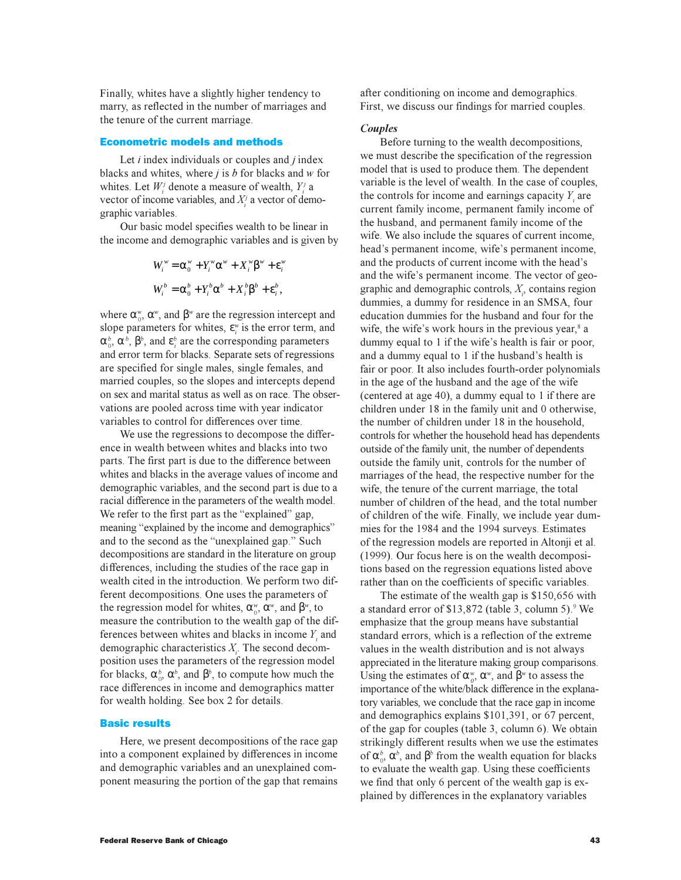Finally, whites have a slightly higher tendency to marry, as reflected in the number of marriages and the tenure of the current marriage.

#### Econometric models and methods

Let *i* index individuals or couples and *j* index blacks and whites, where *j* is *b* for blacks and *w* for whites. Let  $W_i^j$  denote a measure of wealth,  $Y_i^j$  a vector of income variables, and  $X_i^j$  a vector of demographic variables.

Our basic model specifies wealth to be linear in the income and demographic variables and is given by

$$
W_i^w = \alpha_0^w + Y_i^w \alpha^w + X_i^w \beta^w + \varepsilon_i^w
$$
  

$$
W_i^b = \alpha_0^b + Y_i^b \alpha^b + X_i^b \beta^b + \varepsilon_i^b,
$$

where  $\alpha_v^{\nu}$ ,  $\alpha_v^{\nu}$ , and  $\beta_v^{\nu}$  are the regression intercept and slope parameters for whites,  $\varepsilon_i^{\nu}$  is the error term, and  $\alpha_0^b$ ,  $\alpha^b$ ,  $\beta^b$ , and  $\epsilon_i^b$  are the corresponding parameters and error term for blacks. Separate sets of regressions are specified for single males, single females, and married couples, so the slopes and intercepts depend on sex and marital status as well as on race. The observations are pooled across time with year indicator variables to control for differences over time.

We use the regressions to decompose the difference in wealth between whites and blacks into two parts. The first part is due to the difference between whites and blacks in the average values of income and demographic variables, and the second part is due to a racial difference in the parameters of the wealth model. We refer to the first part as the "explained" gap, meaning "explained by the income and demographics" and to the second as the "unexplained gap." Such decompositions are standard in the literature on group di fferences, including the studies of the race gap in wealth cited in the introduction. We perform two different decompositions. One uses the parameters of the regression model for whites,  $\alpha_v^{\mathbf{w}}, \alpha_w^{\mathbf{w}}$ , and  $\beta_w^{\mathbf{w}}$ , to measure the contribution to the wealth gap of the differences between whites and blacks in income  $Y_i$  and demographic characteristics *X<sup>i</sup>* . The second decomposition uses the parameters of the regression model for blacks,  $\alpha_0^b$ ,  $\alpha^b$ , and  $\beta^b$ , to compute how much the race differences in income and demographics matter for wealth holding. See box 2 for details.

## Basic results

Here, we present decompositions of the race gap into a component explained by differences in income and demographic variables and an unexplained component measuring the portion of the gap that remains after conditioning on income and demographics. First, we discuss our findings for married couples.

#### *Couples*

Before turning to the wealth decompositions, we must describe the specification of the regression model that is used to produce them. The dependent variable is the level of wealth. In the case of couples, the controls for income and earnings capacity  $Y_i$  are current family income, permanent family income of the husband, and permanent family income of the wife. We also include the squares of current income, head's permanent income, wife's permanent income, and the products of current income with the head's and the wife's permanent income. The vector of geographic and demographic controls, *X<sup>i</sup>* , contains region dummies, a dummy for residence in an SMSA, four education dummies for the husband and four for the wife, the wife's work hours in the previous year,<sup>8</sup> a dummy equal to 1 if the wife's health is fair or poor, and a dummy equal to  $1$  if the husband's health is fair or poor. It also includes fourth-order polynomials in the age of the husband and the age of the wife (centered at age 40), a dummy equal to 1 if there are children under 18 in the family unit and 0 otherwise, the number of children under 18 in the household, controls for whether the household head has dependents outside of the family unit, the number of dependents outside the family unit, controls for the number of marriages of the head, the respective number for the wife, the tenure of the current marriage, the total number of children of the head, and the total number of children of the wife. Finally, we include year dummies for the 1984 and the 1994 surveys. Estimates of the regression models are reported in Altonji et al. (1999). Our focus here is on the wealth decompositions based on the regression equations listed above rather than on the coefficients of specific variables.

The estimate of the wealth gap is \$150,656 with a standard error of \$13,872 (table 3, column 5).<sup>9</sup> We emphasize that the group means have substantial standard errors, which is a reflection of the extreme values in the wealth distribution and is not always appreciated in the literature making group comparisons. Using the estimates of  $\alpha_v^{\omega}$ ,  $\alpha^{\omega}$ , and  $\beta^{\omega}$  to assess the importance of the white/black difference in the explanatory variables, we conclude that the race gap in income and demographics explains \$101,391, or 67 percent, of the gap for couples (table 3, column 6). We obtain strikingly different results when we use the estimates of  $\alpha_0^b$ ,  $\alpha^b$ , and  $\beta^b$  from the wealth equation for blacks to evaluate the wealth gap. Using these coefficients we find that only 6 percent of the wealth gap is explained by differences in the explanatory variables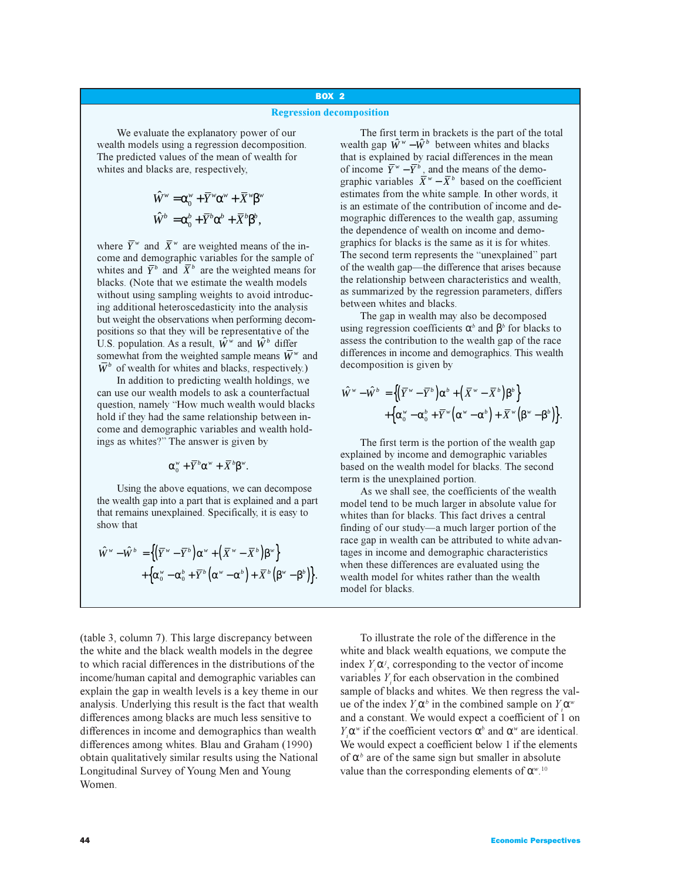# BOX 2

## **Regression decomposition**

We evaluate the explanatory power of our wealth models using a regression decomposition. The predicted values of the mean of wealth for whites and blacks are, respectively,

$$
\hat{W}^w = \alpha_0^w + \overline{Y}^w \alpha^w + \overline{X}^w \beta^w
$$

$$
\hat{W}^b = \alpha_0^b + \overline{Y}^b \alpha^b + \overline{X}^b \beta^b,
$$

where  $\overline{Y}^w$  and  $\overline{X}^w$  are weighted means of the income and demographic variables for the sample of whites and  $\overline{Y}^b$  and  $\overline{X}^b$  are the weighted means for blacks. (Note that we estimate the wealth models without using sampling weights to avoid introducing additional heteroscedasticity into the analysis but weight the observations when performing decompositions so that they will be representative of the U.S. population. As a result,  $\hat{W}^w$  and  $\hat{W}^b$  differ somewhat from the weighted sample means  $\overline{W}^w$  and  $\overline{W}^b$  of wealth for whites and blacks, respectively.)

In addition to predicting wealth holdings, we can use our wealth models to ask a counterfactual question, namely "How much wealth would blacks hold if they had the same relationship between income and demographic variables and wealth holdings as whites?" The answer is given by

$$
\alpha_0^w + \overline{Y}^b \alpha^w + \overline{X}^b \beta^w.
$$

Using the above equations, we can decompose the wealth gap into a part that is explained and a part that remains unexplained. Specifically, it is easy to show that

$$
\hat{W}^{w} - \hat{W}^{b} = \left\{ \left( \overline{Y}^{w} - \overline{Y}^{b} \right) \alpha^{w} + \left( \overline{X}^{w} - \overline{X}^{b} \right) \beta^{w} \right\} \n+ \left\{ \alpha_{0}^{w} - \alpha_{0}^{b} + \overline{Y}^{b} \left( \alpha^{w} - \alpha^{b} \right) + \overline{X}^{b} \left( \beta^{w} - \beta^{b} \right) \right\}.
$$

(table 3, column 7). This large discrepancy between the white and the black wealth models in the degree to which racial differences in the distributions of the income/human capital and demographic variables can explain the gap in wealth levels is a key theme in our analysis. Underlying this result is the fact that wealth differences among blacks are much less sensitive to differences in income and demographics than wealth differences among whites. Blau and Graham (1990) obtain qualitatively similar results using the National Longitudinal Survey of Young Men and Young Women.

The first term in brackets is the part of the total wealth gap  $\hat{W}^w - \hat{W}^b$  between whites and blacks that is explained by racial differences in the mean of income  $\overline{Y}^w - \overline{Y}^b$ , and the means of the demographic variables  $\bar{X}^{\nu} - \bar{X}^{\nu}$  based on the coefficient estimates from the white sample. In other words, it is an estimate of the contribution of income and demographic differences to the wealth gap, assuming the dependence of wealth on income and demographics for blacks is the same as it is for whites. The second term represents the "unexplained" part of the wealth gap—the difference that arises because the relationship between characteristics and wealth, as summarized by the regression parameters, differs between whites and blacks.

The gap in wealth may also be decomposed using regression coefficients  $\alpha^b$  and  $\beta^b$  for blacks to assess the contribution to the wealth gap of the race differences in income and demographics. This wealth decomposition is given by

$$
\hat{W}^{w} - \hat{W}^{b} = \left\{ (\overline{Y}^{w} - \overline{Y}^{b}) \alpha^{b} + (\overline{X}^{w} - \overline{X}^{b}) \beta^{b} \right\} + \left\{ \alpha_{0}^{w} - \alpha_{0}^{b} + \overline{Y}^{w} (\alpha^{w} - \alpha^{b}) + \overline{X}^{w} (\beta^{w} - \beta^{b}) \right\}.
$$

The first term is the portion of the wealth gap explained by income and demographic variables based on the wealth model for blacks. The second term is the unexplained portion.

As we shall see, the coefficients of the wealth model tend to be much larger in absolute value for whites than for blacks. This fact drives a central finding of our study—a much larger portion of the race gap in wealth can be attributed to white advantages in income and demographic characteristics when these differences are evaluated using the wealth model for whites rather than the wealth model for blacks.

To illustrate the role of the difference in the white and black wealth equations, we compute the index  $Y_i \alpha^j$ , corresponding to the vector of income variables *Yi* for each observation in the combined sample of blacks and whites. We then regress the value of the index  $Y_i \alpha^b$  in the combined sample on  $Y_i \alpha^w$ and a constant. We would expect a coefficient of 1 on *Y*<sub>*i*</sub>α<sup>*w*</sup> if the coefficient vectors α<sup>*b*</sup> and α<sup>*w*</sup> are identical. We would expect a coefficient below 1 if the elements of  $\alpha^b$  are of the same sign but smaller in absolute value than the corresponding elements of  $\alpha^{w}$ .<sup>10</sup>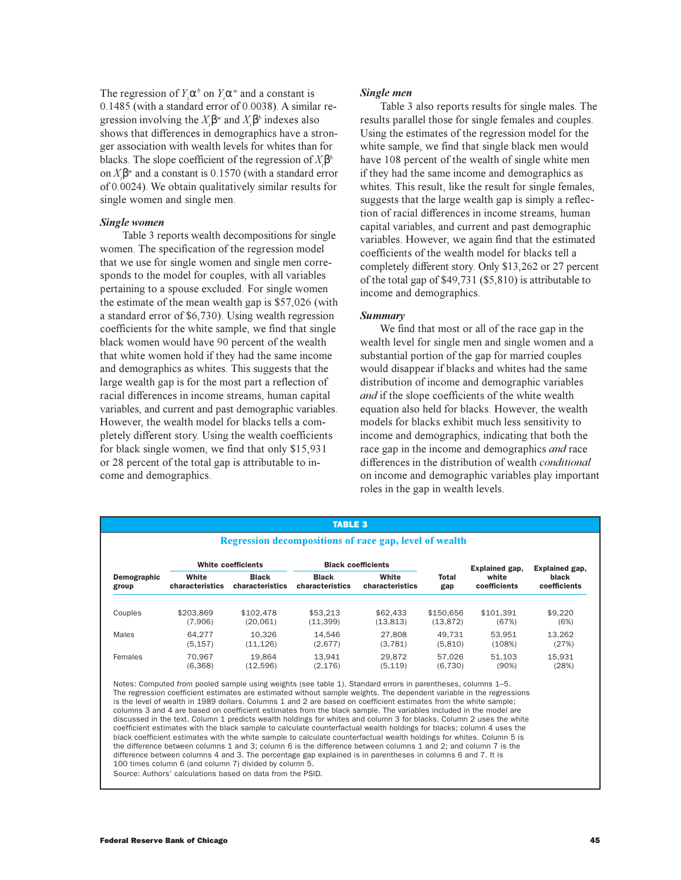The regression of  $Y_i \alpha^b$  on  $Y_i \alpha^w$  and a constant is 0.1485 (with a standard error of 0.0038). A similar regression involving the  $X_i \beta^w$  and  $X_i \beta^b$  indexes also shows that differences in demographics have a stronger association with wealth levels for whites than for blacks. The slope coefficient of the regression of *X<sup>i</sup>* β*b* on *X<sup>i</sup>* β*<sup>w</sup>* and a constant is 0.1570 (with a standard error of 0.0024). We obtain qualitatively similar results for single women and single men.

## *Single women*

 Table 3 reports wealth decompositions for single women. The specification of the regression model that we use for single women and single men corresponds to the model for couples, with all variables pertaining to a spouse excluded. For single women the estimate of the mean wealth gap is \$57,026 (with a standard error of \$6,730). Using wealth regression coefficients for the white sample, we find that single black women would have 90 percent of the wealth that white women hold if they had the same income and demographics as whites. This suggests that the large wealth gap is for the most part a reflection of racial differences in income streams, human capital variables, and current and past demographic variables. However, the wealth model for blacks tells a completely different story. Using the wealth coefficients for black single women, we find that only \$15,931 or 28 percent of the total gap is attributable to income and demographics.

## *Single men*

Table 3 also reports results for single males. The results parallel those for single females and couples. Using the estimates of the regression model for the white sample, we find that single black men would have 108 percent of the wealth of single white men if they had the same income and demographics as whites. This result, like the result for single females, suggests that the large wealth gap is simply a reflection of racial differences in income streams, human capital variables, and current and past demographic variables. However, we again find that the estimated coefficients of the wealth model for blacks tell a completely different story. Only \$13,262 or 27 percent of the total gap of \$49,731 (\$5,810) is attributable to income and demographics.

#### *Summary*

We find that most or all of the race gap in the wealth level for single men and single women and a substantial portion of the gap for married couples would disappear if blacks and whites had the same distribution of income and demographic variables *and* if the slope coefficients of the white wealth equation also held for blacks. However, the wealth models for blacks exhibit much less sensitivity to income and demographics, indicating that both the race gap in the income and demographics *and* race differences in the distribution of wealth *conditional* on income and demographic variables play important roles in the gap in wealth levels.

| <b>TABLE 3</b><br>Regression decompositions of race gap, level of wealth |                                 |                                 |                          |              |                       |                       |         |  |
|--------------------------------------------------------------------------|---------------------------------|---------------------------------|--------------------------|--------------|-----------------------|-----------------------|---------|--|
|                                                                          |                                 |                                 |                          |              |                       |                       |         |  |
| White<br>characteristics                                                 | <b>Black</b><br>characteristics | <b>Black</b><br>characteristics | White<br>characteristics | Total<br>gap | white<br>coefficients | black<br>coefficients |         |  |
| Couples                                                                  | \$203.869                       | \$102.478                       | \$53.213                 | \$62,433     | \$150.656             | \$101.391             | \$9,220 |  |
|                                                                          | (7.906)                         | (20.061)                        | (11.399)                 | (13, 813)    | (13, 872)             | (67%)                 | (6%)    |  |
| Males                                                                    | 64.277                          | 10.326                          | 14.546                   | 27,808       | 49.731                | 53.951                | 13.262  |  |
|                                                                          | (5, 157)                        | (11, 126)                       | (2,677)                  | (3,781)      | (5,810)               | (108%)                | (27%)   |  |
| Females                                                                  | 70.967                          | 19.864                          | 13.941                   | 29.872       | 57.026                | 51.103                | 15.931  |  |
|                                                                          | (6,368)                         | (12,596)                        | (2, 176)                 | (5, 119)     | (6,730)               | (90%)                 | (28%)   |  |

Notes: Computed from pooled sample using weights (see table 1). Standard errors in parentheses, columns 1–5. The regression coefficient estimates are estimated without sample weights. The dependent variable in the regressions is the level of wealth in 1989 dollars. Columns 1 and 2 are based on coefficient estimates from the white sample; columns 3 and 4 are based on coefficient estimates from the black sample. The variables included in the model are discussed in the text. Column 1 predicts wealth holdings for whites and column 3 for blacks. Column 2 uses the white coefficient estimates with the black sample to calculate counterfactual wealth holdings for blacks; column 4 uses the black coefficient estimates with the white sample to calculate counterfactual wealth holdings for whites. Column 5 is the difference between columns 1 and 3; column 6 is the difference between columns 1 and 2; and column 7 is the difference between columns 4 and 3. The percentage gap explained is in parentheses in columns 6 and 7. It is 100 times column 6 (and column 7) divided by column 5.

Source: Authors' calculations based on data from the PSID.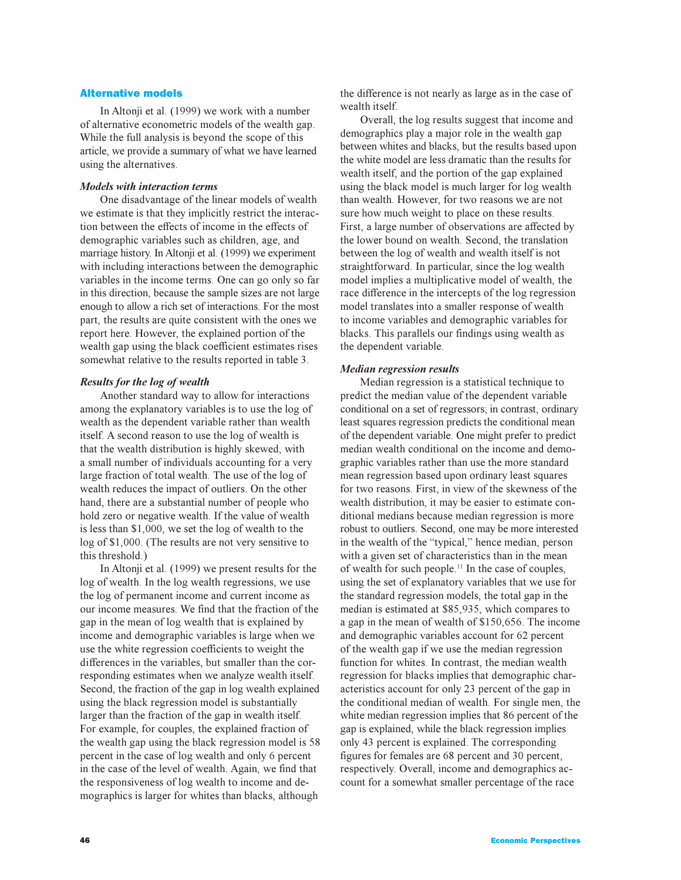## Alternative models

In Altonji et al. (1999) we work with a number of alternative econometric models of the wealth gap. While the full analysis is beyond the scope of this article, we provide a summary of what we have learned using the alternatives.

## *Models with interaction terms*

One disadvantage of the linear models of wealth we estimate is that they implicitly restrict the interaction between the effects of income in the effects of demographic variables such as children, age, and marriage history. In Altonji et al. (1999) we experiment with including interactions between the demographic variables in the income terms. One can go only so far in this direction, because the sample sizes are not large enough to allow a rich set of interactions. For the most part, the results are quite consistent with the ones we report here. However, the explained portion of the wealth gap using the black coefficient estimates rises somewhat relative to the results reported in table 3.

## *Results for the log of wealth*

Another standard way to allow for interactions among the explanatory variables is to use the log of wealth as the dependent variable rather than wealth itself. A second reason to use the log of wealth is that the wealth distribution is highly skewed, with a small number of individuals accounting for a very large fraction of total wealth. The use of the log of wealth reduces the impact of outliers. On the other hand, there are a substantial number of people who hold zero or negative wealth. If the value of wealth is less than \$1,000, we set the log of wealth to the log of \$1,000. (The results are not very sensitive to this threshold.)

In Altonji et al. (1999) we present results for the log of wealth. In the log wealth regressions, we use the log of permanent income and current income as our income measures. We find that the fraction of the gap in the mean of log wealth that is explained by income and demographic variables is large when we use the white regression coefficients to weight the differences in the variables, but smaller than the corresponding estimates when we analyze wealth itself. Second, the fraction of the gap in log wealth explained using the black regression model is substantially larger than the fraction of the gap in wealth itself. For example, for couples, the explained fraction of the wealth gap using the black regression model is 58 percent in the case of log wealth and only 6 percent in the case of the level of wealth. Again, we find that the responsiveness of log wealth to income and demographics is larger for whites than blacks, although

the difference is not nearly as large as in the case of wealth itself.

Overall, the log results suggest that income and demographics play a major role in the wealth gap between whites and blacks, but the results based upon the white model are less dramatic than the results for wealth itself, and the portion of the gap explained using the black model is much larger for log wealth than wealth. However, for two reasons we are not sure how much weight to place on these results. First, a large number of observations are affected by the lower bound on wealth. Second, the translation between the log of wealth and wealth itself is not straightforward. In particular, since the log wealth model implies a multiplicative model of wealth, the race difference in the intercepts of the log regression model translates into a smaller response of wealth to income variables and demographic variables for blacks. This parallels our findings using wealth as the dependent variable.

### *Median regression results*

Median regression is a statistical technique to predict the median value of the dependent variable conditional on a set of regressors; in contrast, ordinary least squares regression predicts the conditional mean of the dependent variable. One might prefer to predict median wealth conditional on the income and demographic variables rather than use the more standard mean regression based upon ordinary least squares for two reasons. First, in view of the skewness of the wealth distribution, it may be easier to estimate conditional medians because median regression is more robust to outliers. Second, one may be more interested in the wealth of the "typical," hence median, person with a given set of characteristics than in the mean of wealth for such people.<sup>11</sup> In the case of couples, using the set of explanatory variables that we use for the standard regression models, the total gap in the median is estimated at \$85,935, which compares to a gap in the mean of wealth of \$150,656. The income and demographic variables account for 62 percent of the wealth gap if we use the median regression function for whites. In contrast, the median wealth regression for blacks implies that demographic characteristics account for only 23 percent of the gap in the conditional median of wealth. For single men, the white median regression implies that 86 percent of the gap is explained, while the black regression implies only 43 percent is explained. The corresponding figures for females are 68 percent and 30 percent, respectively. Overall, income and demographics account for a somewhat smaller percentage of the race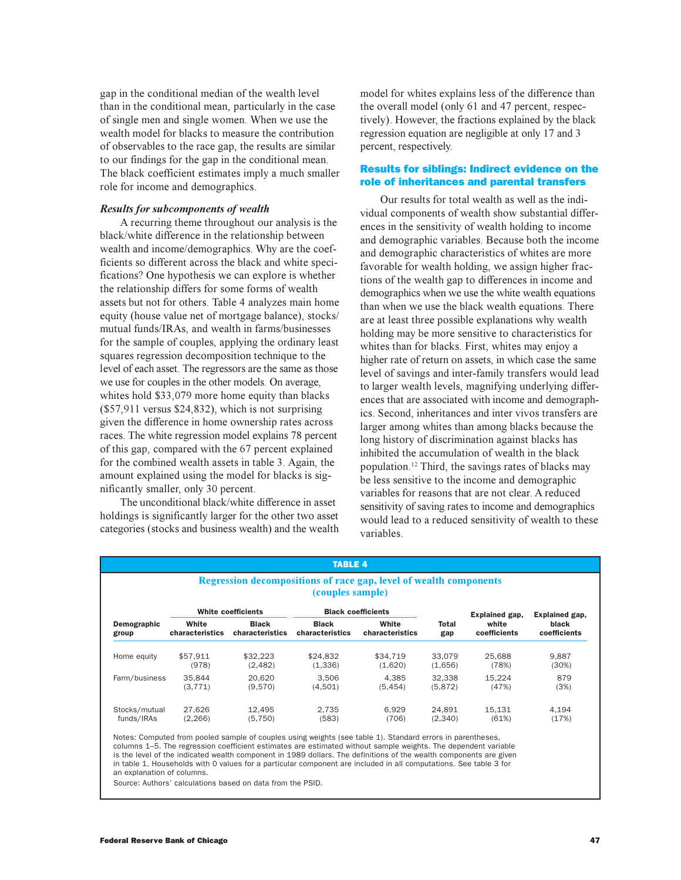gap in the conditional median of the wealth level than in the conditional mean, particularly in the case of single men and single women. When we use the wealth model for blacks to measure the contribution of observables to the race gap, the results are similar to our findings for the gap in the conditional mean. The black coefficient estimates imply a much smaller role for income and demographics.

## *Results for subcomponents of wealth*

A recurring theme throughout our analysis is the black/white difference in the relationship between wealth and income/demographics. Why are the coefficients so different across the black and white specifications? One hypothesis we can explore is whether the relationship differs for some forms of wealth assets but not for others. Table 4 analyzes main home equity (house value net of mortgage balance), stocks/ mutual funds/IRAs, and wealth in farms/businesses for the sample of couples, applying the ordinary least squares regression decomposition technique to the level of each asset. The regressors are the same as those we use for couples in the other models. On average, whites hold \$33,079 more home equity than blacks (\$57,911 versus \$24,832), which is not surprising given the difference in home ownership rates across races. The white regression model explains 78 percent of this gap, compared with the 67 percent explained for the combined wealth assets in table 3. Again, the amount explained using the model for blacks is significantly smaller, only 30 percent.

The unconditional black/white difference in asset holdings is significantly larger for the other two asset categories (stocks and business wealth) and the wealth model for whites explains less of the difference than the overall model (only 61 and 47 percent, respectively). However, the fractions explained by the black regression equation are negligible at only 17 and 3 percent, respectively.

## Results for siblings: Indirect evidence on the role of inheritances and parental transfers

Our results for total wealth as well as the individual components of wealth show substantial differences in the sensitivity of wealth holding to income and demographic variables. Because both the income and demographic characteristics of whites are more favorable for wealth holding, we assign higher fractions of the wealth gap to differences in income and demographics when we use the white wealth equations than when we use the black wealth equations. There are at least three possible explanations why wealth holding may be more sensitive to characteristics for whites than for blacks. First, whites may enjoy a higher rate of return on assets, in which case the same level of savings and inter-family transfers would lead to larger wealth levels, magnifying underlying differences that are associated with income and demographics. Second, inheritances and inter vivos transfers are larger among whites than among blacks because the long history of discrimination against blacks has inhibited the accumulation of wealth in the black population.<sup>12</sup> Third, the savings rates of blacks may be less sensitive to the income and demographic variables for reasons that are not clear. A reduced sensitivity of saving rates to income and demographics would lead to a reduced sensitivity of wealth to these variables.

| <b>TABLE 4</b>                                                                               |                           |                 |                           |                 |              |                |                |  |  |
|----------------------------------------------------------------------------------------------|---------------------------|-----------------|---------------------------|-----------------|--------------|----------------|----------------|--|--|
| <b>Regression decompositions of race gap, level of wealth components</b><br>(couples sample) |                           |                 |                           |                 |              |                |                |  |  |
|                                                                                              | <b>White coefficients</b> |                 | <b>Black coefficients</b> |                 |              | Explained gap, | Explained gap, |  |  |
| Demographic                                                                                  | White                     | <b>Black</b>    | <b>Black</b>              | White           | <b>Total</b> | white          | black          |  |  |
| group                                                                                        | characteristics           | characteristics | characteristics           | characteristics | gap          | coefficients   | coefficients   |  |  |
| Home equity                                                                                  | \$57.911                  | \$32.223        | \$24.832                  | \$34,719        | 33.079       | 25.688         | 9.887          |  |  |
|                                                                                              | (978)                     | (2, 482)        | (1,336)                   | (1,620)         | (1,656)      | (78%)          | (30%)          |  |  |
| Farm/business                                                                                | 35.844                    | 20.620          | 3.506                     | 4.385           | 32.338       | 15.224         | 879            |  |  |
|                                                                                              | (3, 771)                  | (9.570)         | (4,501)                   | (5.454)         | (5.872)      | (47%)          | (3%)           |  |  |
| Stocks/mutual                                                                                | 27.626                    | 12.495          | 2.735                     | 6.929           | 24.891       | 15.131         | 4.194          |  |  |
| funds/IRAs                                                                                   | (2, 266)                  | (5,750)         | (583)                     | (706)           | (2,340)      | (61%)          | (17%)          |  |  |

Notes: Computed from pooled sample of couples using weights (see table 1). Standard errors in parentheses, columns 1–5. The regression coefficient estimates are estimated without sample weights. The dependent variable is the level of the indicated wealth component in 1989 dollars. The definitions of the wealth components are given in table 1. Households with 0 values for a particular component are included in all computations. See table 3 for an explanation of columns.

Source: Authors' calculations based on data from the PSID.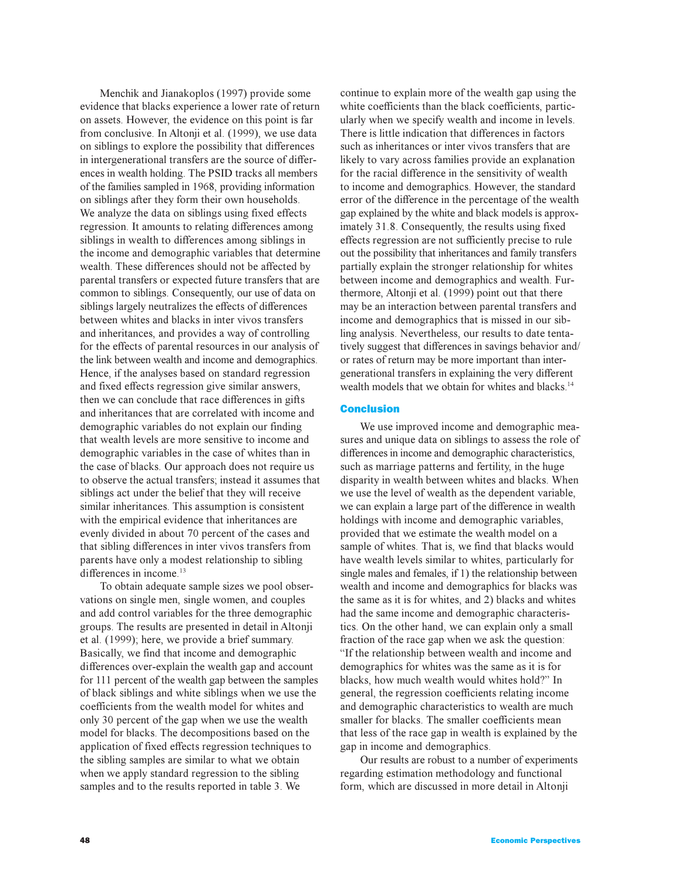Menchik and Jianakoplos (1997) provide some evidence that blacks experience a lower rate of return on assets. However, the evidence on this point is far from conclusive. In Altonji et al. (1999), we use data on siblings to explore the possibility that differences in intergenerational transfers are the source of differences in wealth holding. The PSID tracks all members of the families sampled in 1968, providing information on siblings after they form their own households. We analyze the data on siblings using fixed effects regression. It amounts to relating differences among siblings in wealth to differences among siblings in the income and demographic variables that determine wealth. These differences should not be affected by parental transfers or expected future transfers that are common to siblings. Consequently, our use of data on siblings largely neutralizes the effects of differences between whites and blacks in inter vivos transfers and inheritances, and provides a way of controlling for the effects of parental resources in our analysis of the link between wealth and income and demographics. Hence, if the analyses based on standard regression and fixed effects regression give similar answers, then we can conclude that race differences in gifts and inheritances that are correlated with income and demographic variables do not explain our finding that wealth levels are more sensitive to income and demographic variables in the case of whites than in the case of blacks. Our approach does not require us to observe the actual transfers; instead it assumes that siblings act under the belief that they will receive similar inheritances. This assumption is consistent with the empirical evidence that inheritances are evenly divided in about 70 percent of the cases and that sibling differences in inter vivos transfers from parents have only a modest relationship to sibling differences in income.<sup>13</sup>

To obtain adequate sample sizes we pool observations on single men, single women, and couples and add control variables for the three demographic groups. The results are presented in detail in Altonji et al. (1999); here, we provide a brief summary. Basically, we find that income and demographic differences over-explain the wealth gap and account for 111 percent of the wealth gap between the samples of black siblings and white siblings when we use the coefficients from the wealth model for whites and only 30 percent of the gap when we use the wealth model for blacks. The decompositions based on the application of fixed effects regression techniques to the sibling samples are similar to what we obtain when we apply standard regression to the sibling samples and to the results reported in table 3. We

continue to explain more of the wealth gap using the white coefficients than the black coefficients, particularly when we specify wealth and income in levels. There is little indication that differences in factors such as inheritances or inter vivos transfers that are likely to vary across families provide an explanation for the racial difference in the sensitivity of wealth to income and demographics. However, the standard error of the difference in the percentage of the wealth gap explained by the white and black models is approximately 31.8. Consequently, the results using fixed effects regression are not sufficiently precise to rule out the possibility that inheritances and family transfers partially explain the stronger relationship for whites between income and demographics and wealth. Furthermore, Altonji et al. (1999) point out that there may be an interaction between parental transfers and income and demographics that is missed in our sibling analysis. Nevertheless, our results to date tentatively suggest that differences in savings behavior and/ or rates of return may be more important than intergenerational transfers in explaining the very different wealth models that we obtain for whites and blacks.<sup>14</sup>

# Conclusion

We use improved income and demographic measures and unique data on siblings to assess the role of differences in income and demographic characteristics, such as marriage patterns and fertility, in the huge disparity in wealth between whites and blacks. When we use the level of wealth as the dependent variable, we can explain a large part of the difference in wealth holdings with income and demographic variables, provided that we estimate the wealth model on a sample of whites. That is, we find that blacks would have wealth levels similar to whites, particularly for single males and females, if 1) the relationship between wealth and income and demographics for blacks was the same as it is for whites, and 2) blacks and whites had the same income and demographic characteristics. On the other hand, we can explain only a small fraction of the race gap when we ask the question: "If the relationship between wealth and income and demographics for whites was the same as it is for blacks, how much wealth would whites hold?" In general, the regression coefficients relating income and demographic characteristics to wealth are much smaller for blacks. The smaller coefficients mean that less of the race gap in wealth is explained by the gap in income and demographics.

Our results are robust to a number of experiments regarding estimation methodology and functional form, which are discussed in more detail in Altonji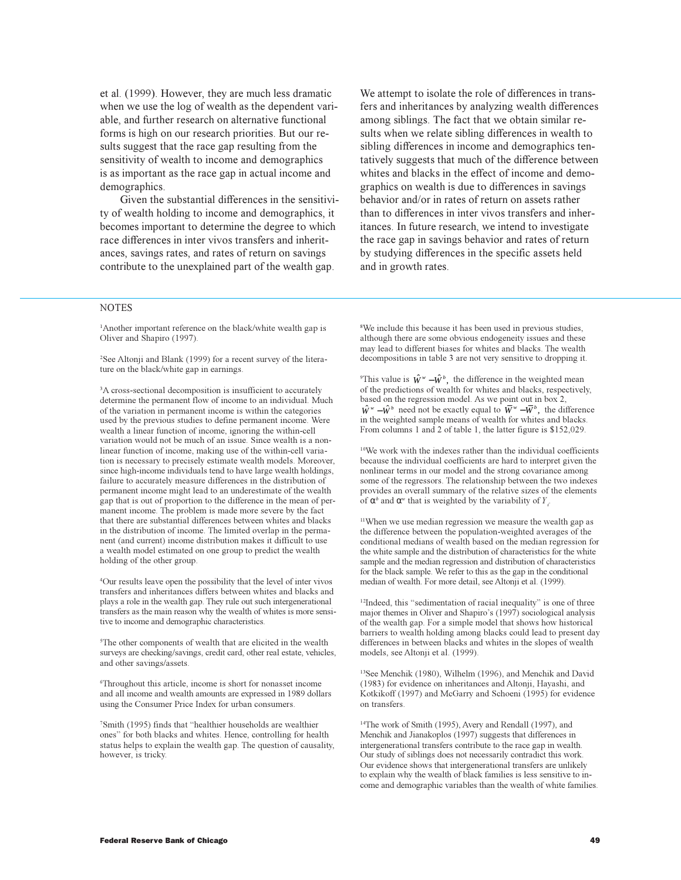et al. (1999). However, they are much less dramatic when we use the log of wealth as the dependent variable, and further research on alternative functional forms is high on our research priorities. But our results suggest that the race gap resulting from the sensitivity of wealth to income and demographics is as important as the race gap in actual income and demographics.

Given the substantial differences in the sensitivity of wealth holding to income and demographics, it becomes important to determine the degree to which race differences in inter vivos transfers and inheritances, savings rates, and rates of return on savings contribute to the unexplained part of the wealth gap.

We attempt to isolate the role of differences in transfers and inheritances by analyzing wealth differences among siblings. The fact that we obtain similar results when we relate sibling differences in wealth to sibling differences in income and demographics tentatively suggests that much of the difference between whites and blacks in the effect of income and demographics on wealth is due to differences in savings behavior and/or in rates of return on assets rather than to differences in inter vivos transfers and inheritances. In future research, we intend to investigate the race gap in savings behavior and rates of return by studying differences in the specific assets held and in growth rates.

## **NOTES**

<sup>1</sup>Another important reference on the black/white wealth gap is Oliver and Shapiro (1997).

2 See Altonji and Blank (1999) for a recent survey of the literature on the black/white gap in earnings.

<sup>3</sup>A cross-sectional decomposition is insufficient to accurately determine the permanent flow of income to an individual. Much of the variation in permanent income is within the categories used by the previous studies to define permanent income. Were wealth a linear function of income, ignoring the within-cell variation would not be much of an issue. Since wealth is a nonlinear function of income, making use of the within-cell variation is necessary to precisely estimate wealth models. Moreover, since high-income individuals tend to have large wealth holdings, failure to accurately measure differences in the distribution of permanent income might lead to an underestimate of the wealth gap that is out of proportion to the difference in the mean of permanent income. The problem is made more severe by the fact that there are substantial differences between whites and blacks in the distribution of income. The limited overlap in the permanent (and current) income distribution makes it difficult to use a wealth model estimated on one group to predict the wealth holding of the other group.

4 Our results leave open the possibility that the level of inter vivos transfers and inheritances differs between whites and blacks and plays a role in the wealth gap. They rule out such intergenerational transfers as the main reason why the wealth of whites is more sensitive to income and demographic characteristics.

5 The other components of wealth that are elicited in the wealth surveys are checking/savings, credit card, other real estate, vehicles, and other savings/assets.

6 Throughout this article, income is short for nonasset income and all income and wealth amounts are expressed in 1989 dollars using the Consumer Price Index for urban consumers.

<sup>7</sup>Smith (1995) finds that "healthier households are wealthier ones" for both blacks and whites. Hence, controlling for health status helps to explain the wealth gap. The question of causality, however, is tricky.

<sup>8</sup>We include this because it has been used in previous studies, although there are some obvious endogeneity issues and these may lead to different biases for whites and blacks. The wealth decompositions in table 3 are not very sensitive to dropping it.

<sup>9</sup>This value is  $\hat{W}^w - \hat{W}^b$ , the difference in the weighted mean of the predictions of wealth for whites and blacks, respectively, based on the regression model. As we point out in box 2,  $\hat{W}^{w} - \hat{W}^{b}$  need not be exactly equal to  $\overline{W}^{w} - \overline{W}^{b}$ , the difference in the weighted sample means of wealth for whites and blacks. From columns 1 and 2 of table 1, the latter figure is \$152,029.

<sup>10</sup>We work with the indexes rather than the individual coefficients because the individual coefficients are hard to interpret given the nonlinear terms in our model and the strong covariance among some of the regressors. The relationship between the two indexes provides an overall summary of the relative sizes of the elements of  $\alpha^b$  and  $\alpha^w$  that is weighted by the variability of  $Y_i$ 

<sup>11</sup>When we use median regression we measure the wealth gap as the difference between the population-weighted averages of the conditional medians of wealth based on the median regression for the white sample and the distribution of characteristics for the white sample and the median regression and distribution of characteristics for the black sample. We refer to this as the gap in the conditional median of wealth. For more detail, see Altonji et al. (1999).

<sup>12</sup>Indeed, this "sedimentation of racial inequality" is one of three major themes in Oliver and Shapiro's (1997) sociological analysis of the wealth gap. For a simple model that shows how historical barriers to wealth holding among blacks could lead to present day differences in between blacks and whites in the slopes of wealth models, see Altonji et al. (1999).

<sup>13</sup>See Menchik (1980), Wilhelm (1996), and Menchik and David (1983) for evidence on inheritances and Altonji, Hayashi, and Kotkikoff (1997) and McGarry and Schoeni (1995) for evidence on transfers.

<sup>14</sup>The work of Smith (1995), Avery and Rendall (1997), and Menchik and Jianakoplos (1997) suggests that differences in intergenerational transfers contribute to the race gap in wealth. Our study of siblings does not necessarily contradict this work. Our evidence shows that intergenerational transfers are unlikely to explain why the wealth of black families is less sensitive to income and demographic variables than the wealth of white families.